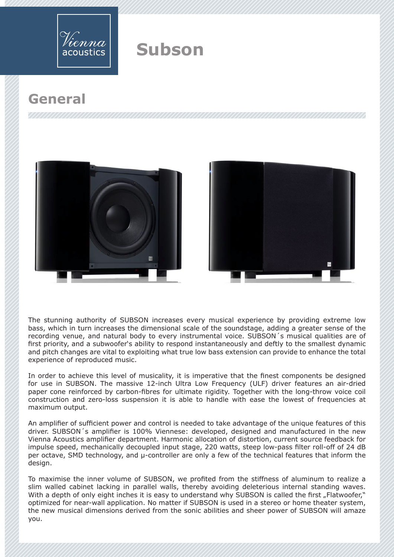

## **General**





The stunning authority of SUBSON increases every musical experience by providing extreme low bass, which in turn increases the dimensional scale of the soundstage, adding a greater sense of the recording venue, and natural body to every instrumental voice. SUBSON´s musical qualities are of first priority, and a subwoofer's ability to respond instantaneously and deftly to the smallest dynamic and pitch changes are vital to exploiting what true low bass extension can provide to enhance the total experience of reproduced music.

In order to achieve this level of musicality, it is imperative that the finest components be designed for use in SUBSON. The massive 12-inch Ultra Low Frequency (ULF) driver features an air-dried paper cone reinforced by carbon-fibres for ultimate rigidity. Together with the long-throw voice coil construction and zero-loss suspension it is able to handle with ease the lowest of frequencies at maximum output.

An amplifier of sufficient power and control is needed to take advantage of the unique features of this driver. SUBSON´s amplifier is 100% Viennese: developed, designed and manufactured in the new Vienna Acoustics amplifier department. Harmonic allocation of distortion, current source feedback for impulse speed, mechanically decoupled input stage, 220 watts, steep low-pass filter roll-off of 24 dB per octave, SMD technology, and µ-controller are only a few of the technical features that inform the design.

To maximise the inner volume of SUBSON, we profited from the stiffness of aluminum to realize a slim walled cabinet lacking in parallel walls, thereby avoiding deleterious internal standing waves. With a depth of only eight inches it is easy to understand why SUBSON is called the first "Flatwoofer," optimized for near-wall application. No matter if SUBSON is used in a stereo or home theater system, the new musical dimensions derived from the sonic abilities and sheer power of SUBSON will amaze you.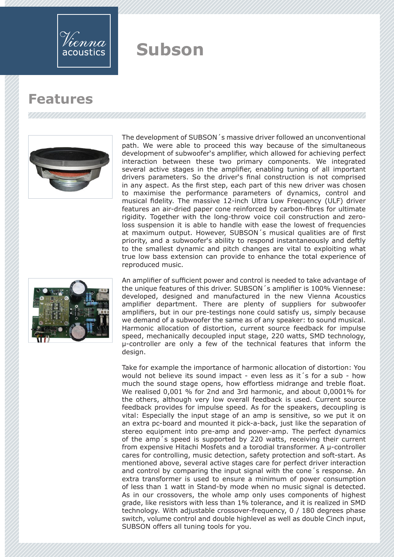

### **Features**



The development of SUBSON´s massive driver followed an unconventional path. We were able to proceed this way because of the simultaneous development of subwoofer's amplifier, which allowed for achieving perfect interaction between these two primary components. We integrated several active stages in the amplifier, enabling tuning of all important drivers parameters. So the driver's final construction is not comprised in any aspect. As the first step, each part of this new driver was chosen to maximise the performance parameters of dynamics, control and musical fidelity. The massive 12-inch Ultra Low Frequency (ULF) driver features an air-dried paper cone reinforced by carbon-fibres for ultimate rigidity. Together with the long-throw voice coil construction and zeroloss suspension it is able to handle with ease the lowest of frequencies at maximum output. However, SUBSON´s musical qualities are of first priority, and a subwoofer's ability to respond instantaneously and deftly to the smallest dynamic and pitch changes are vital to exploiting what true low bass extension can provide to enhance the total experience of reproduced music.



An amplifier of sufficient power and control is needed to take advantage of the unique features of this driver. SUBSON´s amplifier is 100% Viennese: developed, designed and manufactured in the new Vienna Acoustics amplifier department. There are plenty of suppliers for subwoofer amplifiers, but in our pre-testings none could satisfy us, simply because we demand of a subwoofer the same as of any speaker: to sound musical. Harmonic allocation of distortion, current source feedback for impulse speed, mechanically decoupled input stage, 220 watts, SMD technology, µ-controller are only a few of the technical features that inform the design.

Take for example the importance of harmonic allocation of distortion: You would not believe its sound impact - even less as it's for a sub - how much the sound stage opens, how effortless midrange and treble float. We realised 0,001 % for 2nd and 3rd harmonic, and about 0,0001% for the others, although very low overall feedback is used. Current source feedback provides for impulse speed. As for the speakers, decoupling is vital: Especially the input stage of an amp is sensitive, so we put it on an extra pc-board and mounted it pick-a-back, just like the separation of stereo equipment into pre-amp and power-amp. The perfect dynamics of the amp´s speed is supported by 220 watts, receiving their current from expensive Hitachi Mosfets and a torodial transformer. A µ-controller cares for controlling, music detection, safety protection and soft-start. As mentioned above, several active stages care for perfect driver interaction and control by comparing the input signal with the cone´s response. An extra transformer is used to ensure a minimum of power consumption of less than 1 watt in Stand-by mode when no music signal is detected. As in our crossovers, the whole amp only uses components of highest grade, like resistors with less than 1% tolerance, and it is realized in SMD technology. With adjustable crossover-frequency, 0 / 180 degrees phase switch, volume control and double highlevel as well as double Cinch input, SUBSON offers all tuning tools for you.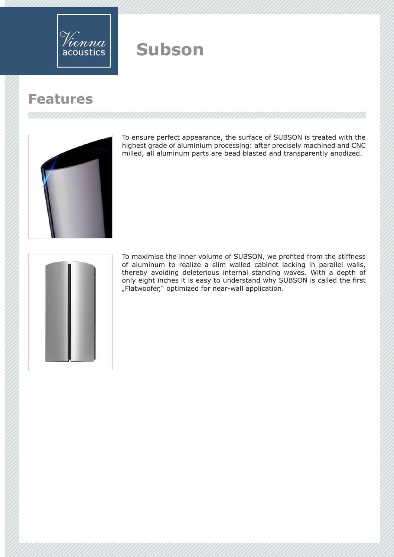

## **Features**



To ensure perfect appearance, the surface of SUBSON is treated with the highest grade of aluminium processing: after precisely machined and CNC milled, all aluminum parts are bead blasted and transparently anodized.



To maximise the inner volume of SUBSON, we profited from the stiffness of aluminum to realize a slim walled cabinet lacking in parallel walls, thereby avoiding deleterious internal standing waves. With a depth of only eight inches it is easy to understand why SUBSON is called the first "Flatwoofer," optimized for near-wall application.